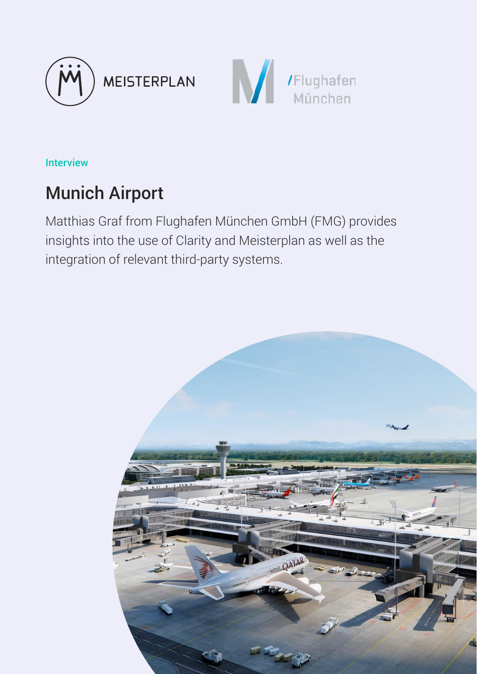



Interview

# Munich Airport

Matthias Graf from Flughafen München GmbH (FMG) provides insights into the use of Clarity and Meisterplan as well as the integration of relevant third-party systems.

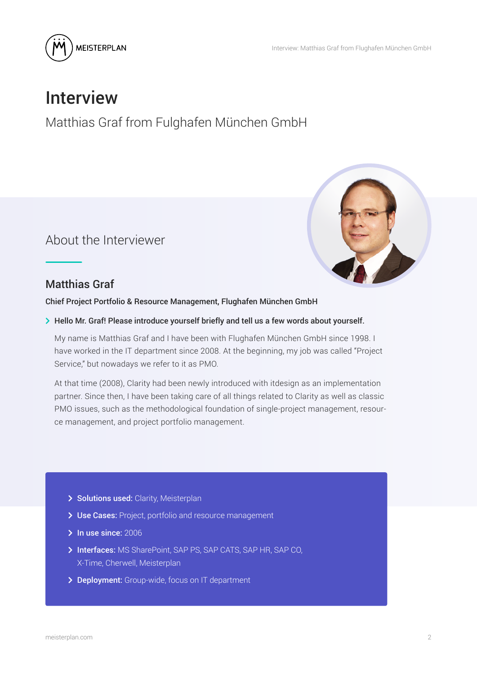



# Interview

Matthias Graf from Fulghafen München GmbH

About the Interviewer



### Matthias Graf

Chief Project Portfolio & Resource Management, Flughafen München GmbH

> Hello Mr. Graf! Please introduce yourself briefly and tell us a few words about yourself.

My name is Matthias Graf and I have been with Flughafen München GmbH since 1998. I have worked in the IT department since 2008. At the beginning, my job was called "Project Service," but nowadays we refer to it as PMO.

At that time (2008), Clarity had been newly introduced with itdesign as an implementation partner. Since then, I have been taking care of all things related to Clarity as well as classic PMO issues, such as the methodological foundation of single-project management, resource management, and project portfolio management.

- > Solutions used: Clarity, Meisterplan
- > Use Cases: Project, portfolio and resource management
- > In use since: 2006
- > Interfaces: MS SharePoint, SAP PS, SAP CATS, SAP HR, SAP CO, X-Time, Cherwell, Meisterplan
- > Deployment: Group-wide, focus on IT department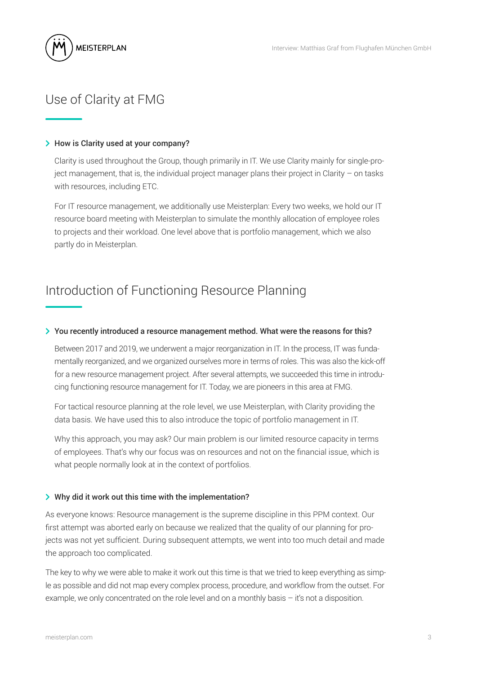

### Use of Clarity at FMG

#### > How is Clarity used at your company?

Clarity is used throughout the Group, though primarily in IT. We use Clarity mainly for single-project management, that is, the individual project manager plans their project in Clarity – on tasks with resources, including ETC.

For IT resource management, we additionally use Meisterplan: Every two weeks, we hold our IT resource board meeting with Meisterplan to simulate the monthly allocation of employee roles to projects and their workload. One level above that is portfolio management, which we also partly do in Meisterplan.

### Introduction of Functioning Resource Planning

#### > You recently introduced a resource management method. What were the reasons for this?

Between 2017 and 2019, we underwent a major reorganization in IT. In the process, IT was fundamentally reorganized, and we organized ourselves more in terms of roles. This was also the kick-off for a new resource management project. After several attempts, we succeeded this time in introducing functioning resource management for IT. Today, we are pioneers in this area at FMG.

For tactical resource planning at the role level, we use Meisterplan, with Clarity providing the data basis. We have used this to also introduce the topic of portfolio management in IT.

Why this approach, you may ask? Our main problem is our limited resource capacity in terms of employees. That's why our focus was on resources and not on the financial issue, which is what people normally look at in the context of portfolios.

#### $\triangleright$  Why did it work out this time with the implementation?

As everyone knows: Resource management is the supreme discipline in this PPM context. Our first attempt was aborted early on because we realized that the quality of our planning for projects was not yet sufficient. During subsequent attempts, we went into too much detail and made the approach too complicated.

The key to why we were able to make it work out this time is that we tried to keep everything as simple as possible and did not map every complex process, procedure, and workflow from the outset. For example, we only concentrated on the role level and on a monthly basis – it's not a disposition.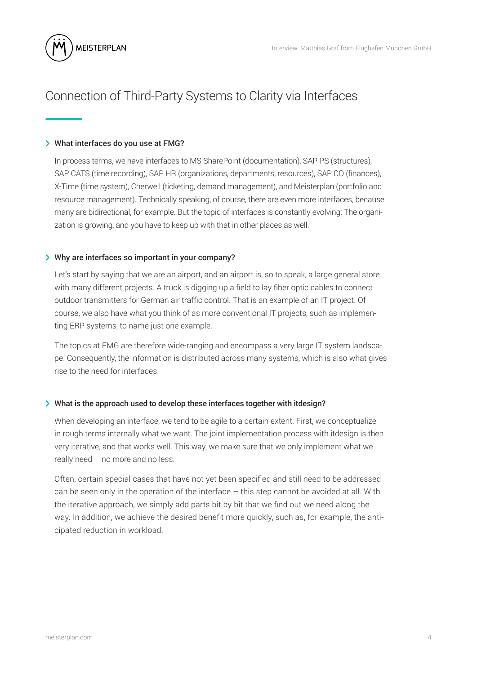

### Connection of Third-Party Systems to Clarity via Interfaces

#### > What interfaces do you use at FMG?

In process terms, we have interfaces to MS SharePoint (documentation), SAP PS (structures), SAP CATS (time recording), SAP HR (organizations, departments, resources), SAP CO (finances), X-Time (time system), Cherwell (ticketing, demand management), and Meisterplan (portfolio and resource management). Technically speaking, of course, there are even more interfaces, because many are bidirectional, for example. But the topic of interfaces is constantly evolving: The organization is growing, and you have to keep up with that in other places as well.

#### > Why are interfaces so important in your company?

Let's start by saying that we are an airport, and an airport is, so to speak, a large general store with many different projects. A truck is digging up a field to lay fiber optic cables to connect outdoor transmitters for German air traffic control. That is an example of an IT project. Of course, we also have what you think of as more conventional IT projects, such as implementing ERP systems, to name just one example.

The topics at FMG are therefore wide-ranging and encompass a very large IT system landscape. Consequently, the information is distributed across many systems, which is also what gives rise to the need for interfaces.

#### > What is the approach used to develop these interfaces together with itdesign?

When developing an interface, we tend to be agile to a certain extent. First, we conceptualize in rough terms internally what we want. The joint implementation process with itdesign is then very iterative, and that works well. This way, we make sure that we only implement what we really need – no more and no less.

Often, certain special cases that have not yet been specified and still need to be addressed can be seen only in the operation of the interface – this step cannot be avoided at all. With the iterative approach, we simply add parts bit by bit that we find out we need along the way. In addition, we achieve the desired benefit more quickly, such as, for example, the anticipated reduction in workload.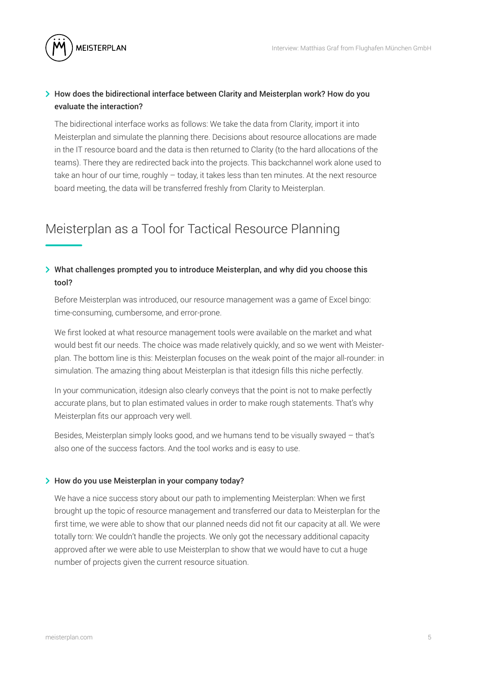

### $\geq$  How does the bidirectional interface between Clarity and Meisterplan work? How do you evaluate the interaction?

The bidirectional interface works as follows: We take the data from Clarity, import it into Meisterplan and simulate the planning there. Decisions about resource allocations are made in the IT resource board and the data is then returned to Clarity (to the hard allocations of the teams). There they are redirected back into the projects. This backchannel work alone used to take an hour of our time, roughly – today, it takes less than ten minutes. At the next resource board meeting, the data will be transferred freshly from Clarity to Meisterplan.

### Meisterplan as a Tool for Tactical Resource Planning

### $\geq$  What challenges prompted you to introduce Meisterplan, and why did you choose this tool?

Before Meisterplan was introduced, our resource management was a game of Excel bingo: time-consuming, cumbersome, and error-prone.

We first looked at what resource management tools were available on the market and what would best fit our needs. The choice was made relatively quickly, and so we went with Meisterplan. The bottom line is this: Meisterplan focuses on the weak point of the major all-rounder: in simulation. The amazing thing about Meisterplan is that itdesign fills this niche perfectly.

In your communication, itdesign also clearly conveys that the point is not to make perfectly accurate plans, but to plan estimated values in order to make rough statements. That's why Meisterplan fits our approach very well.

Besides, Meisterplan simply looks good, and we humans tend to be visually swayed – that's also one of the success factors. And the tool works and is easy to use.

#### > How do you use Meisterplan in your company today?

We have a nice success story about our path to implementing Meisterplan: When we first brought up the topic of resource management and transferred our data to Meisterplan for the first time, we were able to show that our planned needs did not fit our capacity at all. We were totally torn: We couldn't handle the projects. We only got the necessary additional capacity approved after we were able to use Meisterplan to show that we would have to cut a huge number of projects given the current resource situation.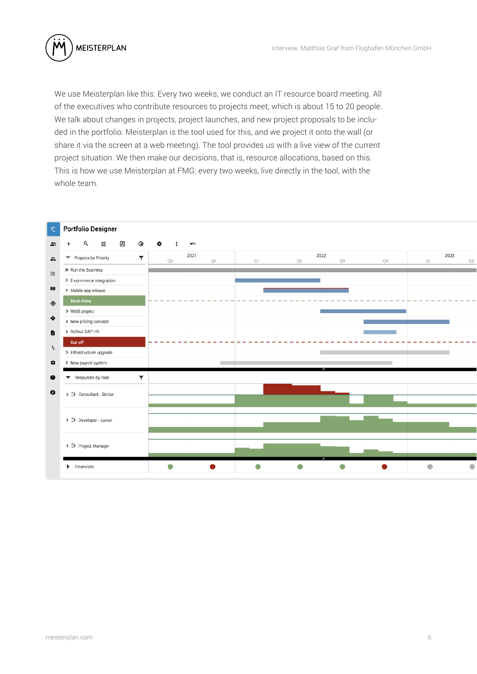

We use Meisterplan like this: Every two weeks, we conduct an IT resource board meeting. All of the executives who contribute resources to projects meet, which is about 15 to 20 people. We talk about changes in projects, project launches, and new project proposals to be included in the portfolio. Meisterplan is the tool used for this, and we project it onto the wall (or share it via the screen at a web meeting). The tool provides us with a live view of the current project situation. We then make our decisions, that is, resource allocations, based on this. This is how we use Meisterplan at FMG: every two weeks, live directly in the tool, with the whole team.

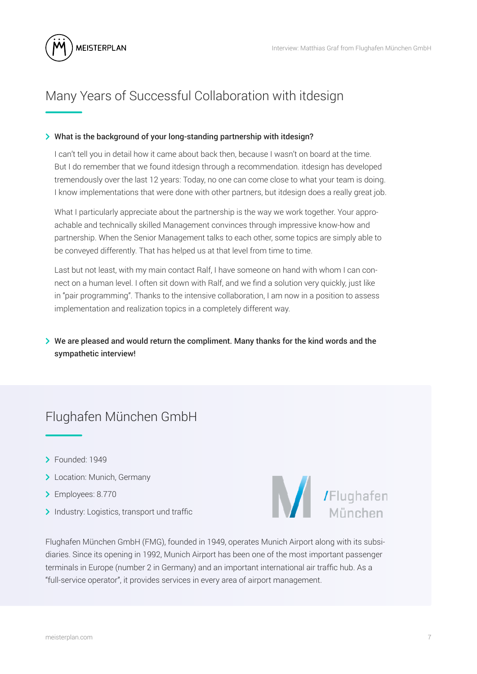

## Many Years of Successful Collaboration with itdesign

#### > What is the background of your long-standing partnership with itdesign?

I can't tell you in detail how it came about back then, because I wasn't on board at the time. But I do remember that we found itdesign through a recommendation. itdesign has developed tremendously over the last 12 years: Today, no one can come close to what your team is doing. I know implementations that were done with other partners, but itdesign does a really great job.

What I particularly appreciate about the partnership is the way we work together. Your approachable and technically skilled Management convinces through impressive know-how and partnership. When the Senior Management talks to each other, some topics are simply able to be conveyed differently. That has helped us at that level from time to time.

Last but not least, with my main contact Ralf, I have someone on hand with whom I can connect on a human level. I often sit down with Ralf, and we find a solution very quickly, just like in "pair programming". Thanks to the intensive collaboration, I am now in a position to assess implementation and realization topics in a completely different way.

### $\geq$  We are pleased and would return the compliment. Many thanks for the kind words and the sympathetic interview!

## Flughafen München GmbH

- > Founded: 1949
- > Location: Munich, Germany
- > Employees: 8.770
- > Industry: Logistics, transport und traffic



Flughafen München GmbH (FMG), founded in 1949, operates Munich Airport along with its subsidiaries. Since its opening in 1992, Munich Airport has been one of the most important passenger terminals in Europe (number 2 in Germany) and an important international air traffic hub. As a "full-service operator", it provides services in every area of airport management.